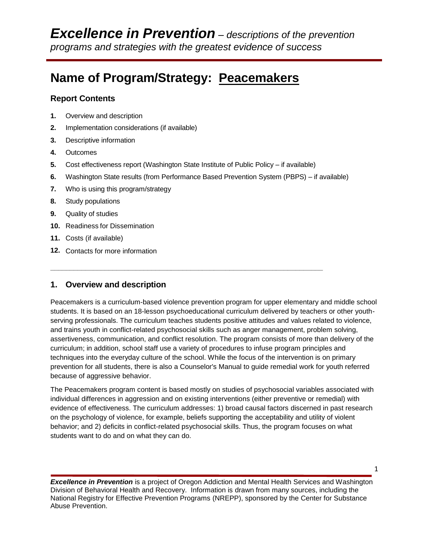# **Name of Program/Strategy: Peacemakers**

# **Report Contents**

- **1.** Overview and description
- **2.** Implementation considerations (if available)
- **3.** Descriptive information
- **4.** Outcomes
- **5.** Cost effectiveness report (Washington State Institute of Public Policy if available)

**\_\_\_\_\_\_\_\_\_\_\_\_\_\_\_\_\_\_\_\_\_\_\_\_\_\_\_\_\_\_\_\_\_\_\_\_\_\_\_\_\_\_\_\_\_\_\_\_\_\_\_\_\_\_\_\_\_\_\_\_\_\_\_\_\_\_\_\_\_\_**

- **6.** Washington State results (from Performance Based Prevention System (PBPS) if available)
- **7.** Who is using this program/strategy
- **8.** Study populations
- **9.** Quality of studies
- **10.** Readiness for Dissemination
- **11.** Costs (if available)
- **12.** Contacts for more information

# **1. Overview and description**

Peacemakers is a curriculum-based violence prevention program for upper elementary and middle school students. It is based on an 18-lesson psychoeducational curriculum delivered by teachers or other youthserving professionals. The curriculum teaches students positive attitudes and values related to violence, and trains youth in conflict-related psychosocial skills such as anger management, problem solving, assertiveness, communication, and conflict resolution. The program consists of more than delivery of the curriculum; in addition, school staff use a variety of procedures to infuse program principles and techniques into the everyday culture of the school. While the focus of the intervention is on primary prevention for all students, there is also a Counselor's Manual to guide remedial work for youth referred because of aggressive behavior.

The Peacemakers program content is based mostly on studies of psychosocial variables associated with individual differences in aggression and on existing interventions (either preventive or remedial) with evidence of effectiveness. The curriculum addresses: 1) broad causal factors discerned in past research on the psychology of violence, for example, beliefs supporting the acceptability and utility of violent behavior; and 2) deficits in conflict-related psychosocial skills. Thus, the program focuses on what students want to do and on what they can do.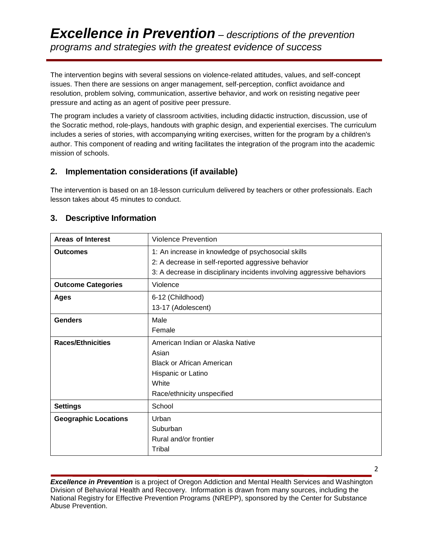The intervention begins with several sessions on violence-related attitudes, values, and self-concept issues. Then there are sessions on anger management, self-perception, conflict avoidance and resolution, problem solving, communication, assertive behavior, and work on resisting negative peer pressure and acting as an agent of positive peer pressure.

The program includes a variety of classroom activities, including didactic instruction, discussion, use of the Socratic method, role-plays, handouts with graphic design, and experiential exercises. The curriculum includes a series of stories, with accompanying writing exercises, written for the program by a children's author. This component of reading and writing facilitates the integration of the program into the academic mission of schools.

# **2. Implementation considerations (if available)**

The intervention is based on an 18-lesson curriculum delivered by teachers or other professionals. Each lesson takes about 45 minutes to conduct.

# **3. Descriptive Information**

| Areas of Interest           | <b>Violence Prevention</b>                                             |  |  |
|-----------------------------|------------------------------------------------------------------------|--|--|
| <b>Outcomes</b>             | 1: An increase in knowledge of psychosocial skills                     |  |  |
|                             | 2: A decrease in self-reported aggressive behavior                     |  |  |
|                             | 3: A decrease in disciplinary incidents involving aggressive behaviors |  |  |
| <b>Outcome Categories</b>   | Violence                                                               |  |  |
| <b>Ages</b>                 | 6-12 (Childhood)                                                       |  |  |
|                             | 13-17 (Adolescent)                                                     |  |  |
| <b>Genders</b>              | Male                                                                   |  |  |
|                             | Female                                                                 |  |  |
| <b>Races/Ethnicities</b>    | American Indian or Alaska Native                                       |  |  |
|                             | Asian                                                                  |  |  |
|                             | <b>Black or African American</b>                                       |  |  |
|                             | Hispanic or Latino                                                     |  |  |
|                             | White                                                                  |  |  |
|                             | Race/ethnicity unspecified                                             |  |  |
| <b>Settings</b>             | School                                                                 |  |  |
| <b>Geographic Locations</b> | Urban                                                                  |  |  |
|                             | Suburban                                                               |  |  |
|                             | Rural and/or frontier                                                  |  |  |
|                             | Tribal                                                                 |  |  |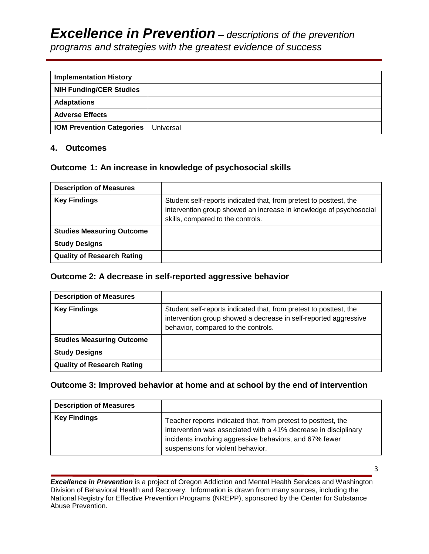# *Excellence in Prevention – descriptions of the prevention*

*programs and strategies with the greatest evidence of success*

| <b>Implementation History</b>    |           |
|----------------------------------|-----------|
| <b>NIH Funding/CER Studies</b>   |           |
| <b>Adaptations</b>               |           |
| <b>Adverse Effects</b>           |           |
| <b>IOM Prevention Categories</b> | Universal |

# **4. Outcomes**

# **Outcome 1: An increase in knowledge of psychosocial skills**

| <b>Description of Measures</b>    |                                                                                                                                                                               |
|-----------------------------------|-------------------------------------------------------------------------------------------------------------------------------------------------------------------------------|
| <b>Key Findings</b>               | Student self-reports indicated that, from pretest to posttest, the<br>intervention group showed an increase in knowledge of psychosocial<br>skills, compared to the controls. |
| <b>Studies Measuring Outcome</b>  |                                                                                                                                                                               |
| <b>Study Designs</b>              |                                                                                                                                                                               |
| <b>Quality of Research Rating</b> |                                                                                                                                                                               |

# **Outcome 2: A decrease in self-reported aggressive behavior**

| <b>Description of Measures</b>    |                                                                                                                                                                               |
|-----------------------------------|-------------------------------------------------------------------------------------------------------------------------------------------------------------------------------|
| <b>Key Findings</b>               | Student self-reports indicated that, from pretest to posttest, the<br>intervention group showed a decrease in self-reported aggressive<br>behavior, compared to the controls. |
| <b>Studies Measuring Outcome</b>  |                                                                                                                                                                               |
| <b>Study Designs</b>              |                                                                                                                                                                               |
| <b>Quality of Research Rating</b> |                                                                                                                                                                               |

# **Outcome 3: Improved behavior at home and at school by the end of intervention**

| <b>Description of Measures</b> |                                                                                                                                                                                                                                  |
|--------------------------------|----------------------------------------------------------------------------------------------------------------------------------------------------------------------------------------------------------------------------------|
| <b>Key Findings</b>            | Teacher reports indicated that, from pretest to posttest, the<br>intervention was associated with a 41% decrease in disciplinary<br>incidents involving aggressive behaviors, and 67% fewer<br>suspensions for violent behavior. |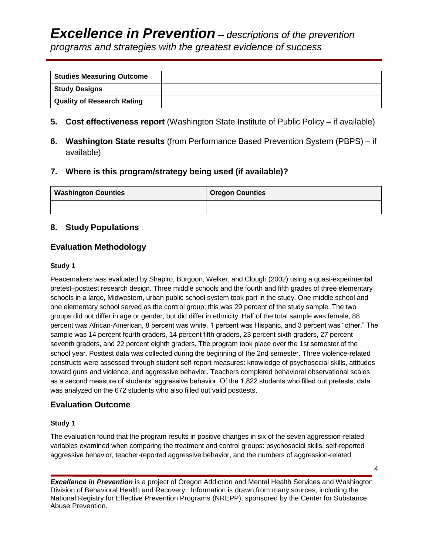| <b>Studies Measuring Outcome</b>  |  |
|-----------------------------------|--|
| Study Designs                     |  |
| <b>Quality of Research Rating</b> |  |

- **5. Cost effectiveness report** (Washington State Institute of Public Policy if available)
- **6. Washington State results** (from Performance Based Prevention System (PBPS) if available)

# **7. Where is this program/strategy being used (if available)?**

| <b>Washington Counties</b> | <b>Oregon Counties</b> |
|----------------------------|------------------------|
|                            |                        |

# **8. Study Populations**

# **Evaluation Methodology**

#### **Study 1**

Peacemakers was evaluated by Shapiro, Burgoon, Welker, and Clough (2002) using a quasi-experimental pretest–posttest research design. Three middle schools and the fourth and fifth grades of three elementary schools in a large, Midwestern, urban public school system took part in the study. One middle school and one elementary school served as the control group; this was 29 percent of the study sample. The two groups did not differ in age or gender, but did differ in ethnicity. Half of the total sample was female, 88 percent was African-American, 8 percent was white, 1 percent was Hispanic, and 3 percent was "other." The sample was 14 percent fourth graders, 14 percent fifth graders, 23 percent sixth graders, 27 percent seventh graders, and 22 percent eighth graders. The program took place over the 1st semester of the school year. Posttest data was collected during the beginning of the 2nd semester. Three violence-related constructs were assessed through student self-report measures: knowledge of psychosocial skills, attitudes toward guns and violence, and aggressive behavior. Teachers completed behavioral observational scales as a second measure of students' aggressive behavior. Of the 1,822 students who filled out pretests, data was analyzed on the 672 students who also filled out valid posttests.

#### **Evaluation Outcome**

#### **Study 1**

The evaluation found that the program results in positive changes in six of the seven aggression-related variables examined when comparing the treatment and control groups: psychosocial skills, self-reported aggressive behavior, teacher-reported aggressive behavior, and the numbers of aggression-related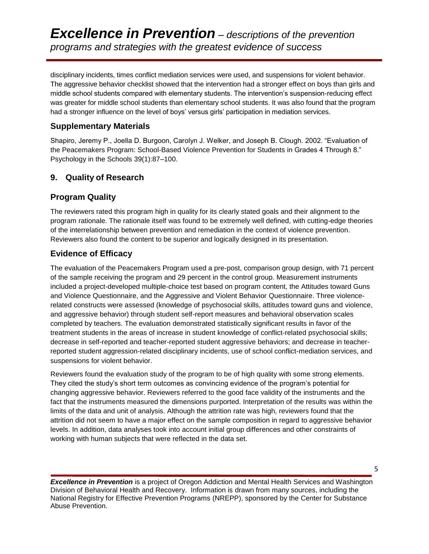disciplinary incidents, times conflict mediation services were used, and suspensions for violent behavior. The aggressive behavior checklist showed that the intervention had a stronger effect on boys than girls and middle school students compared with elementary students. The intervention's suspension-reducing effect was greater for middle school students than elementary school students. It was also found that the program had a stronger influence on the level of boys' versus girls' participation in mediation services.

# **Supplementary Materials**

Shapiro, Jeremy P., Joella D. Burgoon, Carolyn J. Welker, and Joseph B. Clough. 2002. "Evaluation of the Peacemakers Program: School-Based Violence Prevention for Students in Grades 4 Through 8." Psychology in the Schools 39(1):87–100.

# **9. Quality of Research**

# **Program Quality**

The reviewers rated this program high in quality for its clearly stated goals and their alignment to the program rationale. The rationale itself was found to be extremely well defined, with cutting-edge theories of the interrelationship between prevention and remediation in the context of violence prevention. Reviewers also found the content to be superior and logically designed in its presentation.

# **Evidence of Efficacy**

The evaluation of the Peacemakers Program used a pre-post, comparison group design, with 71 percent of the sample receiving the program and 29 percent in the control group. Measurement instruments included a project-developed multiple-choice test based on program content, the Attitudes toward Guns and Violence Questionnaire, and the Aggressive and Violent Behavior Questionnaire. Three violencerelated constructs were assessed (knowledge of psychosocial skills, attitudes toward guns and violence, and aggressive behavior) through student self-report measures and behavioral observation scales completed by teachers. The evaluation demonstrated statistically significant results in favor of the treatment students in the areas of increase in student knowledge of conflict-related psychosocial skills; decrease in self-reported and teacher-reported student aggressive behaviors; and decrease in teacherreported student aggression-related disciplinary incidents, use of school conflict-mediation services, and suspensions for violent behavior.

Reviewers found the evaluation study of the program to be of high quality with some strong elements. They cited the study's short term outcomes as convincing evidence of the program's potential for changing aggressive behavior. Reviewers referred to the good face validity of the instruments and the fact that the instruments measured the dimensions purported. Interpretation of the results was within the limits of the data and unit of analysis. Although the attrition rate was high, reviewers found that the attrition did not seem to have a major effect on the sample composition in regard to aggressive behavior levels. In addition, data analyses took into account initial group differences and other constraints of working with human subjects that were reflected in the data set.